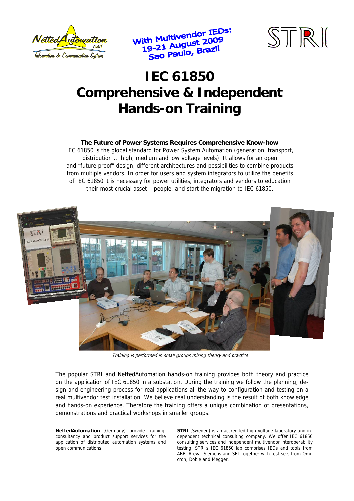

With Multivendor IEDs:<br>21 August 2009 ith Multivendor ILD.<br>19-21 August 2009<br>Sao Paulo, Brazil



# **IEC 61850 Comprehensive & Independent Hands-on Training**

#### **The Future of Power Systems Requires Comprehensive Know-how**

IEC 61850 is the global standard for Power System Automation (generation, transport, distribution ... high, medium and low voltage levels). It allows for an open and "future proof" design, different architectures and possibilities to combine products from multiple vendors. In order for users and system integrators to utilize the benefits of IEC 61850 it is necessary for power utilities, integrators and vendors to education their most crucial asset – people, and start the migration to IEC 61850.



Training is performed in small groups mixing theory and practice

The popular STRI and NettedAutomation hands-on training provides both theory and practice on the application of IEC 61850 in a substation. During the training we follow the planning, design and engineering process for real applications all the way to configuration and testing on a real multivendor test installation. We believe real understanding is the result of both knowledge and hands-on experience. Therefore the training offers a unique combination of presentations, demonstrations and practical workshops in smaller groups.

**NettedAutomation** (Germany) provide training, consultancy and product support services for the application of distributed automation systems and open communications.

**STRI** (Sweden) is an accredited high voltage laboratory and independent technical consulting company. We offer IEC 61850 consulting services and independent multivendor interoperability testing. STRI's IEC 61850 lab comprises IEDs and tools from ABB, Areva, Siemens and SEL together with test sets from Omicron, Doble and Megger.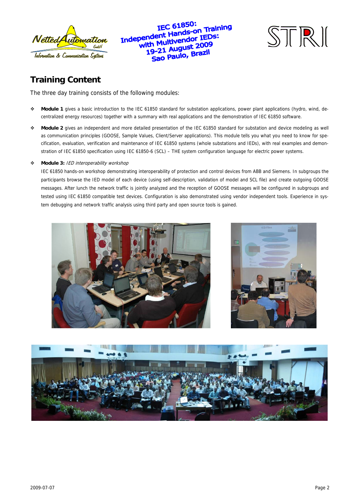

IEC 61850: IEC 61850:<br>Independent Hands-on Training<br>Independent Hands-on IEDs: pendent Hands-On. ...<br>with Multivendor IEDs:<br>with Managers 2009 Multivenuo<br>-21 August 2009<br>-21 August 2009 21 August 2021<br>10 Paulo, Brazil



# **Training Content**

The three day training consists of the following modules:

- **Module 1** gives a basic introduction to the IEC 61850 standard for substation applications, power plant applications (hydro, wind, decentralized energy resources) together with a summary with real applications and the demonstration of IEC 61850 software.
- **Module 2** gives an independent and more detailed presentation of the IEC 61850 standard for substation and device modeling as well as communication principles (GOOSE, Sample Values, Client/Server applications). This module tells you what you need to know for specification, evaluation, verification and maintenance of IEC 61850 systems (whole substations and IEDs), with real examples and demonstration of IEC 61850 specification using IEC 61850-6 (SCL) – THE system configuration language for electric power systems.

#### **Module 3:** IED interoperability workshop

IEC 61850 hands-on workshop demonstrating interoperability of protection and control devices from ABB and Siemens. In subgroups the participants browse the IED model of each device (using self-description, validation of model and SCL file) and create outgoing GOOSE messages. After lunch the network traffic is jointly analyzed and the reception of GOOSE messages will be configured in subgroups and tested using IEC 61850 compatible test devices. Configuration is also demonstrated using vendor independent tools. Experience in system debugging and network traffic analysis using third party and open source tools is gained.





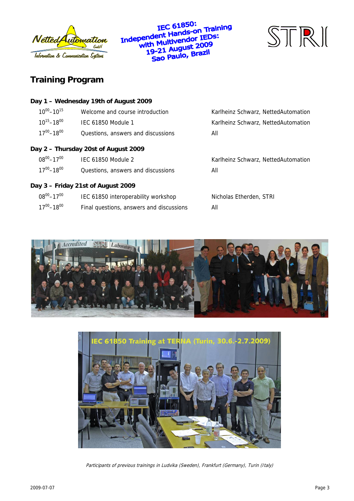

**IEC 61850:** IEC 61850:<br>Independent Hands-on Training<br>Independent Hands-on IEDs: pendent Hands-Officer<br>with Multivendor IEDs:<br>with Multivendor 1909 ith Multivengon<br>19-21 August 2009<br>19-21 Anulo, Brazil 9-21 August 2004<br>Sao Paulo, Brazil



## **Training Program**

|                     | Day 1 - Wednesday 19th of August 2009    |                                     |
|---------------------|------------------------------------------|-------------------------------------|
| $10^{00} - 10^{15}$ | Welcome and course introduction          | Karlheinz Schwarz, NettedAutomation |
| $10^{15} - 18^{00}$ | <b>IEC 61850 Module 1</b>                | Karlheinz Schwarz, NettedAutomation |
| $17^{00} - 18^{00}$ | Questions, answers and discussions       | All                                 |
|                     | Day 2 - Thursday 20st of August 2009     |                                     |
| $08^{00} - 17^{00}$ | IEC 61850 Module 2                       | Karlheinz Schwarz, NettedAutomation |
| $17^{00} - 18^{00}$ | Questions, answers and discussions       | All                                 |
|                     | Day 3 - Friday 21st of August 2009       |                                     |
| $08^{00} - 17^{00}$ | IEC 61850 interoperability workshop      | Nicholas Etherden, STRI             |
| $17^{00} - 18^{00}$ | Final questions, answers and discussions | All                                 |





Participants of previous trainings in Ludvika (Sweden), Frankfurt (Germany), Turin (Italy)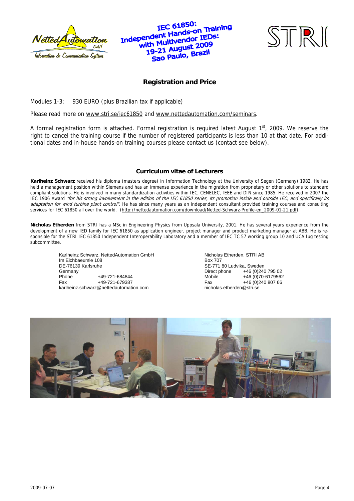

### IEC 61850: IEC 61850:<br>Independent Hands-on Training<br>Independent Hands-on IEDs: pendent Hands-On these<br>with Multivendor IEDs:<br>with Mar August 2009 ith Multivengon<br>19-21 August 2009<br>19-21 Raulo, Brazil 9-21 August 2021<br>Sao Paulo, Brazil



### **Registration and Price**

Modules 1-3: 930 EURO (plus Brazilian tax if applicable)

Please read more on www.stri.se/iec61850 and www.nettedautomation.com/seminars.

A formal registration form is attached. Formal registration is required latest August  $1<sup>st</sup>$ , 2009. We reserve the right to cancel the training course if the number of registered participants is less than 10 at that date. For additional dates and in-house hands-on training courses please contact us (contact see below).

#### **Curriculum vitae of Lecturers**

**Karlheinz Schwarz** received his diploma (masters degree) in Information Technology at the University of Segen (Germany) 1982. He has held a management position within Siemens and has an immense experience in the migration from proprietary or other solutions to standard compliant solutions. He is involved in many standardization activities within IEC, CENELEC, IEEE and DIN since 1985. He received in 2007 the IEC 1906 Award "for his strong involvement in the edition of the IEC 61850 series, its promotion inside and outside IEC, and specifically its adaptation for wind turbine plant control". He has since many years as an independent consultant provided training courses and consulting services for IEC 61850 all over the world. (http://nettedautomation.com/download/Netted-Schwarz-Profile-en\_2009-01-21.pdf).

**Nicholas Etherden** from STRI has a MSc in Engineering Physics from Uppsala University, 2001. He has several years experience from the development of a new IED family for IEC 61850 as application engineer, project manager and product marketing manager at ABB. He is responsible for the STRI IEC 61850 Independent Interoperability Laboratory and a member of IEC TC 57 working group 10 and UCA Iug testing subcommittee.

Karlheinz Schwarz, NettedAutomation GmbH Im Eichbaeumle 108 DE-76139 Karlsruhe Germany<br>Phone Phone +49-721-684844<br>Fax +49-721-679387 Fax +49-721-679387 karlheinz.schwarz@nettedautomation.com

Nicholas Etherden, STRI AB Box 707 SE-771 80 Ludvika, Sweden Direct phone  $+46(0)24079502$ <br>Mobile  $+46(0)70-6179562$ Mobile +46 (0)70-6179562<br>Fax +46 (0)240 807 66  $+46(0)24080766$ nicholas.etherden@stri.se